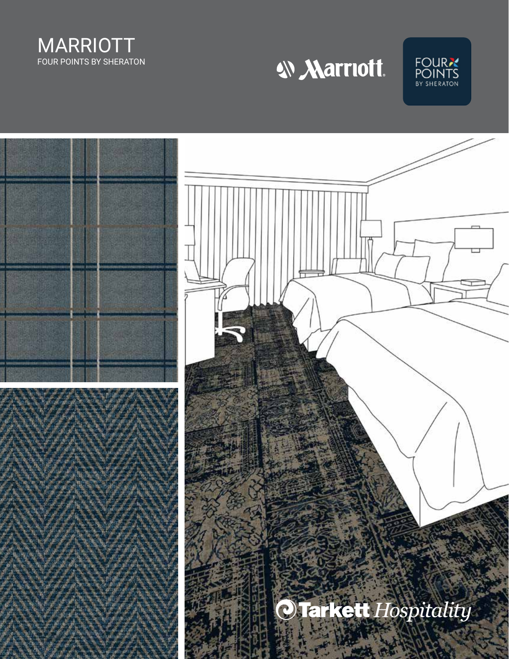

W Marriott.



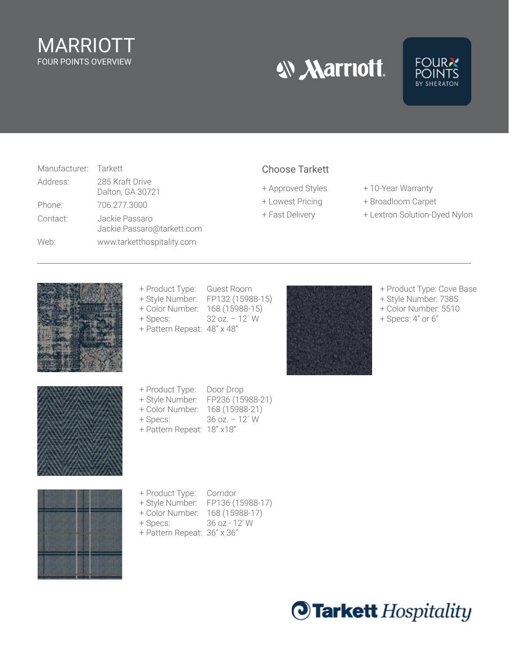## MARRIOTT FOUR POINTS OVERVIEW

**W Marriott.** 



| Manufacturer: Tarkett |                                              |
|-----------------------|----------------------------------------------|
| Address:              | 285 Kraft Drive<br>Dalton, GA 30721          |
| Phone:                | 706 277 3000                                 |
| Contact:              | Jackie Passaro<br>Jackie.Passaro@tarkett.com |
| Web:                  | www.tarketthospitality.com                   |

#### Choose Tarkett

- 
- 
- 
- + Approved Styles + 10-Year Warranty
- + Lowest Pricing + Broadloom Carpet
- + Fast Delivery + Lextron Solution-Dyed Nylon



- + Product Type: Guest Room
- + Style Number: FP132 (15988-15)
- + Color Number: 168 (15988-15)
- + Specs: 32 oz. 12´ W
- + Pattern Repeat: 48" x 48"



- + Product Type: Cove Base
- + Style Number: 738S + Color Number: 5510
- + Specs: 4" or 6"





- + Product Type: Door Drop
- + Style Number: FP236 (15988-21)
- + Color Number: 168 (15988-21)
- + Specs: 36 oz. 12´ W
- + Pattern Repeat: 18" x18"



- + Product Type: Corridor
- + Style Number: FP136 (15988-17)
- + Color Number: 168 (15988-17)
- + Specs: 36 oz 12' W
- 
- 
- 
- 
- + Pattern Repeat: 36" x 36"

**Tarkett** Hospitality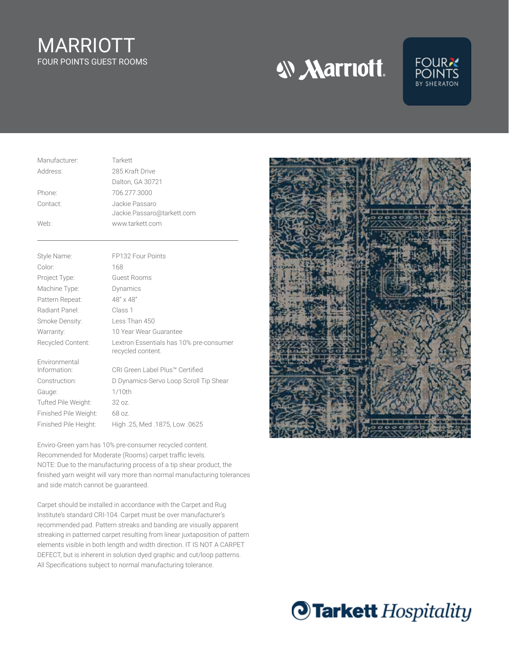## MARRIOTT FOUR POINTS GUEST ROOMS

**W Marriott.** 



| Manufacturer: | Tarkett                                      |
|---------------|----------------------------------------------|
| Address:      | 285 Kraft Drive                              |
|               | Dalton, GA 30721                             |
| Phone:        | 706.277.3000                                 |
| Contact:      | Jackie Passaro<br>Jackie.Passaro@tarkett.com |
| Web:          | www.tarkett.com                              |
|               |                                              |

| Style Name:           | FP132 Four Points                                            |
|-----------------------|--------------------------------------------------------------|
| Color:                | 168                                                          |
| Project Type:         | Guest Rooms                                                  |
| Machine Type:         | Dynamics                                                     |
| Pattern Repeat:       | $48'' \times 48''$                                           |
| Radiant Panel:        | Class 1                                                      |
| Smoke Density:        | Less Than 450                                                |
| Warranty:             | 10 Year Wear Guarantee                                       |
| Recycled Content:     | Lextron Essentials has 10% pre-consumer<br>recycled content. |
| Environmental         |                                                              |
|                       |                                                              |
| Information:          | CRI Green Label Plus™ Certified                              |
| Construction:         | D Dynamics-Servo Loop Scroll Tip Shear                       |
| Gauge:                | $1/10$ th                                                    |
| Tufted Pile Weight:   | 32.07.                                                       |
| Finished Pile Weight: | 68 oz.                                                       |

Enviro-Green yarn has 10% pre-consumer recycled content. Recommended for Moderate (Rooms) carpet traffic levels. NOTE: Due to the manufacturing process of a tip shear product, the finished yarn weight will vary more than normal manufacturing tolerances and side match cannot be guaranteed.

Carpet should be installed in accordance with the Carpet and Rug Institute's standard CRI-104. Carpet must be over manufacturer's recommended pad. Pattern streaks and banding are visually apparent streaking in patterned carpet resulting from linear juxtaposition of pattern elements visible in both length and width direction. IT IS NOT A CARPET DEFECT, but is inherent in solution dyed graphic and cut/loop patterns. All Specifications subject to normal manufacturing tolerance.



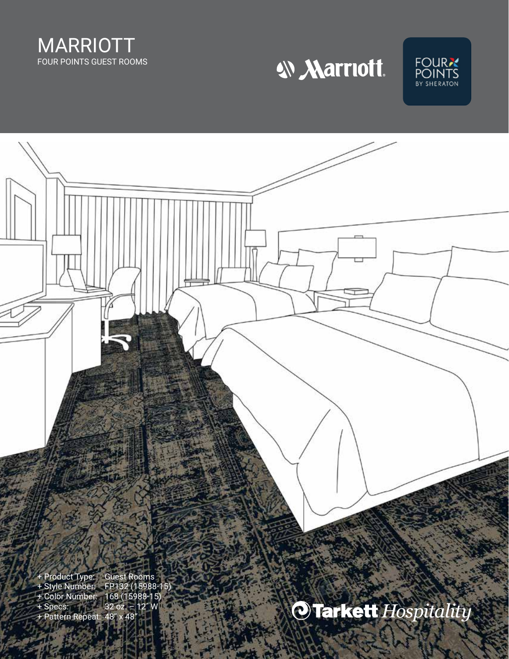







+ Pattern Repeat: 48" x 48"

OTarkett Hospitality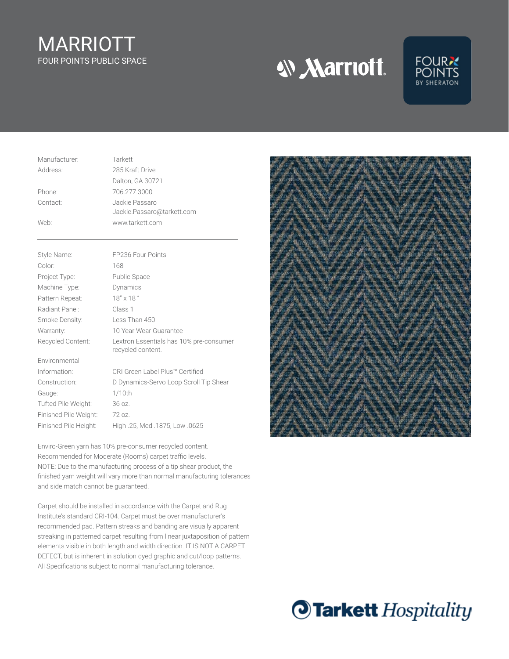# MARRIOTT FOUR POINTS PUBLIC SPACE

W Marriott.



| Manufacturer: | Tarkett                                      |
|---------------|----------------------------------------------|
| Address:      | 285 Kraft Drive                              |
|               | Dalton, GA 30721                             |
| Phone:        | 706.277.3000                                 |
| Contact:      | Jackie Passaro<br>Jackie.Passaro@tarkett.com |
| Web:          | www.tarkett.com                              |

| Style Name:           | FP236 Four Points                                            |
|-----------------------|--------------------------------------------------------------|
| Color:                | 168                                                          |
| Project Type:         | Public Space                                                 |
| Machine Type:         | Dynamics                                                     |
| Pattern Repeat:       | $18" \times 18"$                                             |
| Radiant Panel:        | Class 1                                                      |
| Smoke Density:        | Less Than 450                                                |
| Warranty:             | 10 Year Wear Guarantee                                       |
| Recycled Content:     | Lextron Essentials has 10% pre-consumer<br>recycled content. |
| Environmental         |                                                              |
| Information:          | CRI Green Label Plus™ Certified                              |
| Construction:         | D Dynamics-Servo Loop Scroll Tip Shear                       |
| Gauge:                | $1/10$ th                                                    |
| Tufted Pile Weight:   | 36 oz.                                                       |
| Finished Pile Weight: | 72 oz.                                                       |
| Finished Pile Height: | High .25, Med .1875, Low .0625                               |

Enviro-Green yarn has 10% pre-consumer recycled content. Recommended for Moderate (Rooms) carpet traffic levels. NOTE: Due to the manufacturing process of a tip shear product, the finished yarn weight will vary more than normal manufacturing tolerances and side match cannot be guaranteed.

Carpet should be installed in accordance with the Carpet and Rug Institute's standard CRI-104. Carpet must be over manufacturer's recommended pad. Pattern streaks and banding are visually apparent streaking in patterned carpet resulting from linear juxtaposition of pattern elements visible in both length and width direction. IT IS NOT A CARPET DEFECT, but is inherent in solution dyed graphic and cut/loop patterns. All Specifications subject to normal manufacturing tolerance.



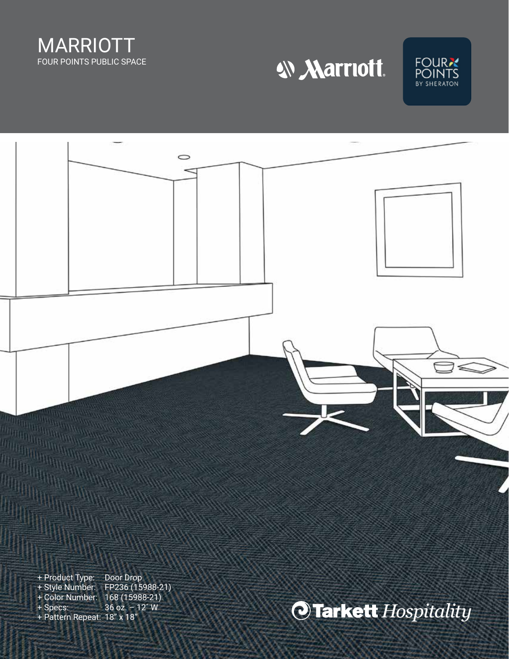

W Marriott.



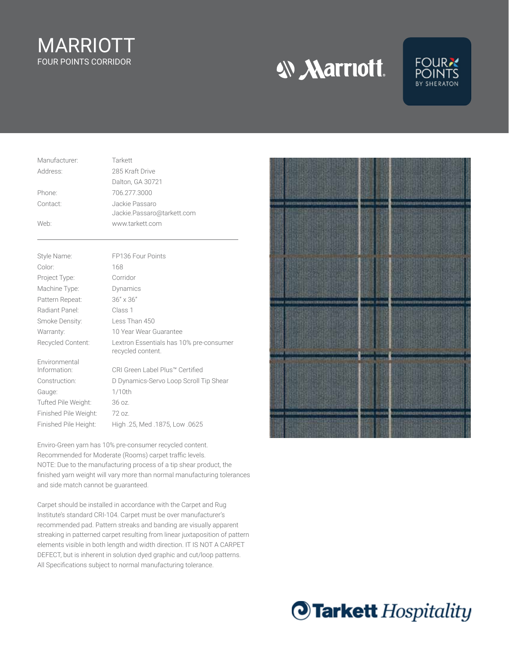#### MARRIOTT FOUR POINTS CORRIDOR

**W Marriott.** 



| Manufacturer: | Tarkett                                      |
|---------------|----------------------------------------------|
| Address:      | 285 Kraft Drive                              |
|               | Dalton, GA 30721                             |
| Phone:        | 706.277.3000                                 |
| Contact:      | Jackie Passaro<br>Jackie.Passaro@tarkett.com |
| Web:          | www.tarkett.com                              |

| Style Name:           | FP136 Four Points                                            |
|-----------------------|--------------------------------------------------------------|
| Color:                | 168                                                          |
| Project Type:         | Corridor                                                     |
| Machine Type:         | Dynamics                                                     |
| Pattern Repeat:       | $36'' \times 36''$                                           |
| Radiant Panel:        | Class 1                                                      |
| Smoke Density:        | Less Than 450                                                |
| Warranty:             | 10 Year Wear Guarantee                                       |
| Recycled Content:     | Lextron Essentials has 10% pre-consumer<br>recycled content. |
|                       |                                                              |
| Environmental         |                                                              |
| Information:          | CRI Green Label Plus™ Certified                              |
| Construction:         | D Dynamics-Servo Loop Scroll Tip Shear                       |
| Gauge:                | 1/10th                                                       |
| Tufted Pile Weight:   | 36 oz.                                                       |
| Finished Pile Weight: | $72$ oz.                                                     |

Enviro-Green yarn has 10% pre-consumer recycled content. Recommended for Moderate (Rooms) carpet traffic levels. NOTE: Due to the manufacturing process of a tip shear product, the finished yarn weight will vary more than normal manufacturing tolerances and side match cannot be guaranteed.

Carpet should be installed in accordance with the Carpet and Rug Institute's standard CRI-104. Carpet must be over manufacturer's recommended pad. Pattern streaks and banding are visually apparent streaking in patterned carpet resulting from linear juxtaposition of pattern elements visible in both length and width direction. IT IS NOT A CARPET DEFECT, but is inherent in solution dyed graphic and cut/loop patterns. All Specifications subject to normal manufacturing tolerance.